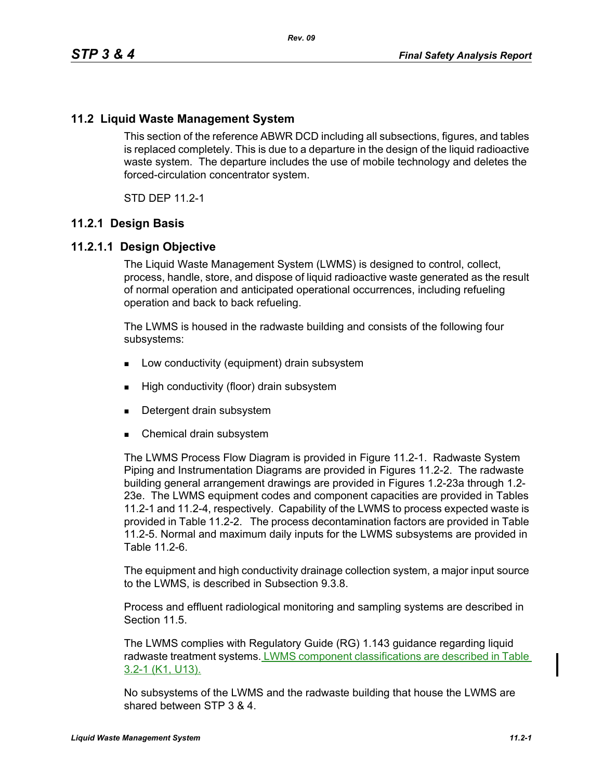## **11.2 Liquid Waste Management System**

This section of the reference ABWR DCD including all subsections, figures, and tables is replaced completely. This is due to a departure in the design of the liquid radioactive waste system. The departure includes the use of mobile technology and deletes the forced-circulation concentrator system.

STD DEP 11.2-1

#### **11.2.1 Design Basis**

#### **11.2.1.1 Design Objective**

The Liquid Waste Management System (LWMS) is designed to control, collect, process, handle, store, and dispose of liquid radioactive waste generated as the result of normal operation and anticipated operational occurrences, including refueling operation and back to back refueling.

The LWMS is housed in the radwaste building and consists of the following four subsystems:

- **Low conductivity (equipment) drain subsystem**
- **High conductivity (floor) drain subsystem**
- Detergent drain subsystem
- Chemical drain subsystem

The LWMS Process Flow Diagram is provided in Figure 11.2-1. Radwaste System Piping and Instrumentation Diagrams are provided in Figures 11.2-2. The radwaste building general arrangement drawings are provided in Figures 1.2-23a through 1.2- 23e. The LWMS equipment codes and component capacities are provided in Tables 11.2-1 and 11.2-4, respectively. Capability of the LWMS to process expected waste is provided in Table 11.2-2. The process decontamination factors are provided in Table 11.2-5. Normal and maximum daily inputs for the LWMS subsystems are provided in Table 11.2-6.

The equipment and high conductivity drainage collection system, a major input source to the LWMS, is described in Subsection 9.3.8.

Process and effluent radiological monitoring and sampling systems are described in Section 11.5

The LWMS complies with Regulatory Guide (RG) 1.143 guidance regarding liquid radwaste treatment systems. LWMS component classifications are described in Table 3.2-1 (K1, U13).

No subsystems of the LWMS and the radwaste building that house the LWMS are shared between STP 3 & 4.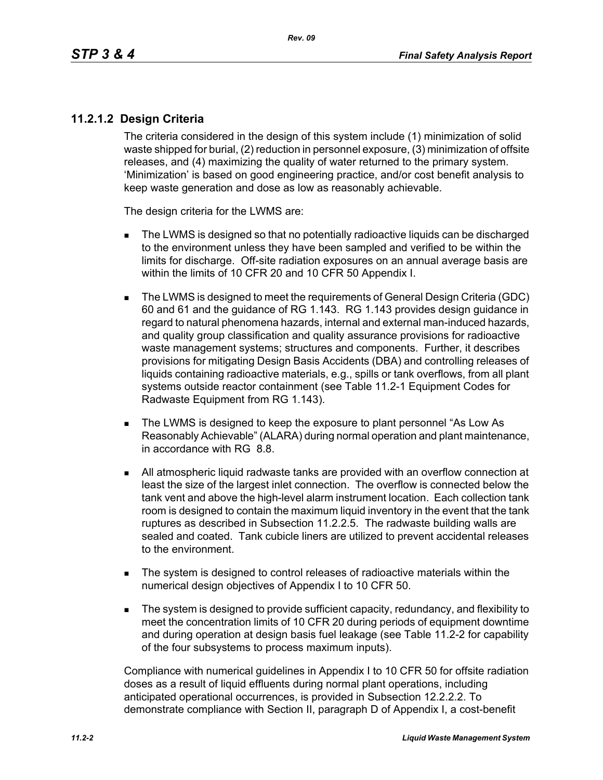# **11.2.1.2 Design Criteria**

The criteria considered in the design of this system include (1) minimization of solid waste shipped for burial, (2) reduction in personnel exposure, (3) minimization of offsite releases, and (4) maximizing the quality of water returned to the primary system. 'Minimization' is based on good engineering practice, and/or cost benefit analysis to keep waste generation and dose as low as reasonably achievable.

The design criteria for the LWMS are:

- The LWMS is designed so that no potentially radioactive liquids can be discharged to the environment unless they have been sampled and verified to be within the limits for discharge. Off-site radiation exposures on an annual average basis are within the limits of 10 CFR 20 and 10 CFR 50 Appendix I.
- The LWMS is designed to meet the requirements of General Design Criteria (GDC) 60 and 61 and the guidance of RG 1.143. RG 1.143 provides design guidance in regard to natural phenomena hazards, internal and external man-induced hazards, and quality group classification and quality assurance provisions for radioactive waste management systems; structures and components. Further, it describes provisions for mitigating Design Basis Accidents (DBA) and controlling releases of liquids containing radioactive materials, e.g., spills or tank overflows, from all plant systems outside reactor containment (see Table 11.2-1 Equipment Codes for Radwaste Equipment from RG 1.143).
- The LWMS is designed to keep the exposure to plant personnel "As Low As Reasonably Achievable" (ALARA) during normal operation and plant maintenance, in accordance with RG 8.8.
- All atmospheric liquid radwaste tanks are provided with an overflow connection at least the size of the largest inlet connection. The overflow is connected below the tank vent and above the high-level alarm instrument location. Each collection tank room is designed to contain the maximum liquid inventory in the event that the tank ruptures as described in Subsection 11.2.2.5. The radwaste building walls are sealed and coated. Tank cubicle liners are utilized to prevent accidental releases to the environment.
- The system is designed to control releases of radioactive materials within the numerical design objectives of Appendix I to 10 CFR 50.
- The system is designed to provide sufficient capacity, redundancy, and flexibility to meet the concentration limits of 10 CFR 20 during periods of equipment downtime and during operation at design basis fuel leakage (see Table 11.2-2 for capability of the four subsystems to process maximum inputs).

Compliance with numerical guidelines in Appendix I to 10 CFR 50 for offsite radiation doses as a result of liquid effluents during normal plant operations, including anticipated operational occurrences, is provided in Subsection 12.2.2.2. To demonstrate compliance with Section II, paragraph D of Appendix I, a cost-benefit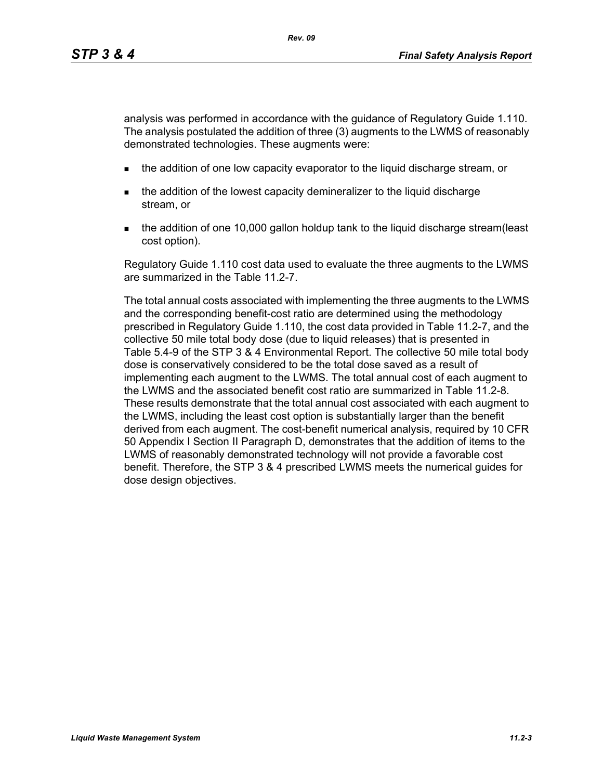analysis was performed in accordance with the guidance of Regulatory Guide 1.110. The analysis postulated the addition of three (3) augments to the LWMS of reasonably demonstrated technologies. These augments were:

- **the addition of one low capacity evaporator to the liquid discharge stream, or**
- the addition of the lowest capacity demineralizer to the liquid discharge stream, or
- the addition of one 10,000 gallon holdup tank to the liquid discharge stream(least cost option).

Regulatory Guide 1.110 cost data used to evaluate the three augments to the LWMS are summarized in the Table 11.2-7.

The total annual costs associated with implementing the three augments to the LWMS and the corresponding benefit-cost ratio are determined using the methodology prescribed in Regulatory Guide 1.110, the cost data provided in Table 11.2-7, and the collective 50 mile total body dose (due to liquid releases) that is presented in Table 5.4-9 of the STP 3 & 4 Environmental Report. The collective 50 mile total body dose is conservatively considered to be the total dose saved as a result of implementing each augment to the LWMS. The total annual cost of each augment to the LWMS and the associated benefit cost ratio are summarized in Table 11.2-8. These results demonstrate that the total annual cost associated with each augment to the LWMS, including the least cost option is substantially larger than the benefit derived from each augment. The cost-benefit numerical analysis, required by 10 CFR 50 Appendix I Section II Paragraph D, demonstrates that the addition of items to the LWMS of reasonably demonstrated technology will not provide a favorable cost benefit. Therefore, the STP 3 & 4 prescribed LWMS meets the numerical guides for dose design objectives.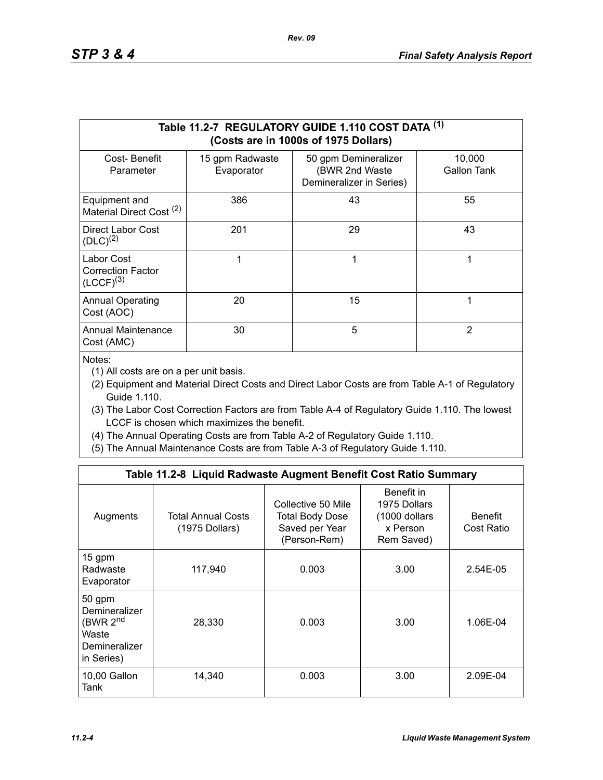|                                                          |                               | Table 11.2-7 REGULATORY GUIDE 1.110 COST DATA (1)<br>(Costs are in 1000s of 1975 Dollars) |                       |
|----------------------------------------------------------|-------------------------------|-------------------------------------------------------------------------------------------|-----------------------|
| Cost-Benefit<br>Parameter                                | 15 gpm Radwaste<br>Evaporator | 50 gpm Demineralizer<br>(BWR 2nd Waste<br>Demineralizer in Series)                        | 10,000<br>Gallon Tank |
| Equipment and<br>Material Direct Cost <sup>(2)</sup>     | 386                           | 43                                                                                        | 55                    |
| Direct Labor Cost<br>$(DLC)^{(2)}$                       | 201                           | 29                                                                                        | 43                    |
| Labor Cost<br><b>Correction Factor</b><br>$(LCCF)^{(3)}$ | 1                             | 1                                                                                         | 1                     |
| <b>Annual Operating</b><br>Cost (AOC)                    | 20                            | 15                                                                                        | 1                     |
| <b>Annual Maintenance</b><br>Cost (AMC)                  | 30                            | 5                                                                                         | 2                     |

Notes:

(1) All costs are on a per unit basis.

- (2) Equipment and Material Direct Costs and Direct Labor Costs are from Table A-1 of Regulatory Guide 1.110.
- (3) The Labor Cost Correction Factors are from Table A-4 of Regulatory Guide 1.110. The lowest LCCF is chosen which maximizes the benefit.
- (4) The Annual Operating Costs are from Table A-2 of Regulatory Guide 1.110.
- (5) The Annual Maintenance Costs are from Table A-3 of Regulatory Guide 1.110.

|                                                                                         | Table 11.2-8 Liquid Radwaste Augment Benefit Cost Ratio Summary |                                                                                |                                                                       |                              |
|-----------------------------------------------------------------------------------------|-----------------------------------------------------------------|--------------------------------------------------------------------------------|-----------------------------------------------------------------------|------------------------------|
| Augments                                                                                | <b>Total Annual Costs</b><br>(1975 Dollars)                     | Collective 50 Mile<br><b>Total Body Dose</b><br>Saved per Year<br>(Person-Rem) | Benefit in<br>1975 Dollars<br>(1000 dollars<br>x Person<br>Rem Saved) | <b>Benefit</b><br>Cost Ratio |
| 15 gpm<br>Radwaste<br>Evaporator                                                        | 117,940                                                         | 0.003                                                                          | 3.00                                                                  | 2.54E-05                     |
| 50 gpm<br>Demineralizer<br>(BWR 2 <sup>nd</sup><br>Waste<br>Demineralizer<br>in Series) | 28,330                                                          | 0.003                                                                          | 3.00                                                                  | 1.06E-04                     |
| 10,00 Gallon<br>Tank                                                                    | 14,340                                                          | 0.003                                                                          | 3.00                                                                  | 2.09E-04                     |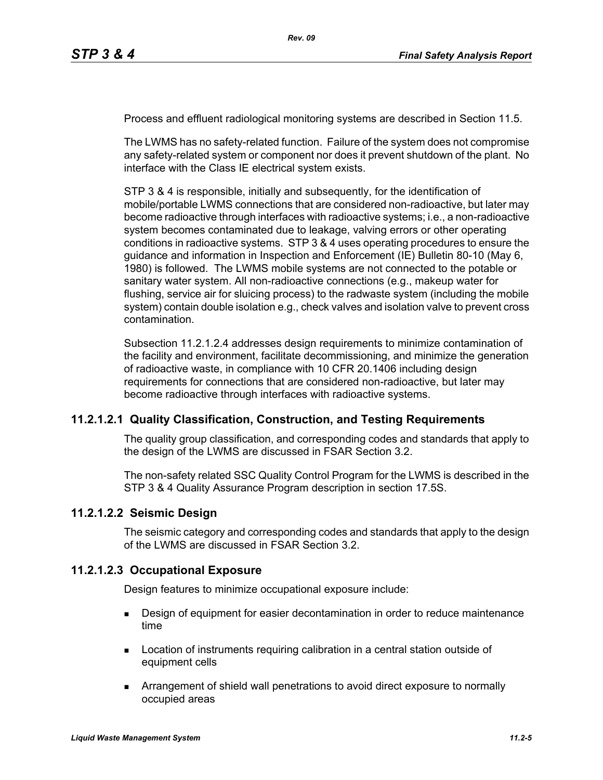Process and effluent radiological monitoring systems are described in Section 11.5.

The LWMS has no safety-related function. Failure of the system does not compromise any safety-related system or component nor does it prevent shutdown of the plant. No interface with the Class IE electrical system exists.

STP 3 & 4 is responsible, initially and subsequently, for the identification of mobile/portable LWMS connections that are considered non-radioactive, but later may become radioactive through interfaces with radioactive systems; i.e., a non-radioactive system becomes contaminated due to leakage, valving errors or other operating conditions in radioactive systems. STP 3 & 4 uses operating procedures to ensure the guidance and information in Inspection and Enforcement (IE) Bulletin 80-10 (May 6, 1980) is followed. The LWMS mobile systems are not connected to the potable or sanitary water system. All non-radioactive connections (e.g., makeup water for flushing, service air for sluicing process) to the radwaste system (including the mobile system) contain double isolation e.g., check valves and isolation valve to prevent cross contamination.

Subsection 11.2.1.2.4 addresses design requirements to minimize contamination of the facility and environment, facilitate decommissioning, and minimize the generation of radioactive waste, in compliance with 10 CFR 20.1406 including design requirements for connections that are considered non-radioactive, but later may become radioactive through interfaces with radioactive systems.

# **11.2.1.2.1 Quality Classification, Construction, and Testing Requirements**

The quality group classification, and corresponding codes and standards that apply to the design of the LWMS are discussed in FSAR Section 3.2.

The non-safety related SSC Quality Control Program for the LWMS is described in the STP 3 & 4 Quality Assurance Program description in section 17.5S.

#### **11.2.1.2.2 Seismic Design**

The seismic category and corresponding codes and standards that apply to the design of the LWMS are discussed in FSAR Section 3.2.

#### **11.2.1.2.3 Occupational Exposure**

Design features to minimize occupational exposure include:

- **Design of equipment for easier decontamination in order to reduce maintenance** time
- **Location of instruments requiring calibration in a central station outside of** equipment cells
- Arrangement of shield wall penetrations to avoid direct exposure to normally occupied areas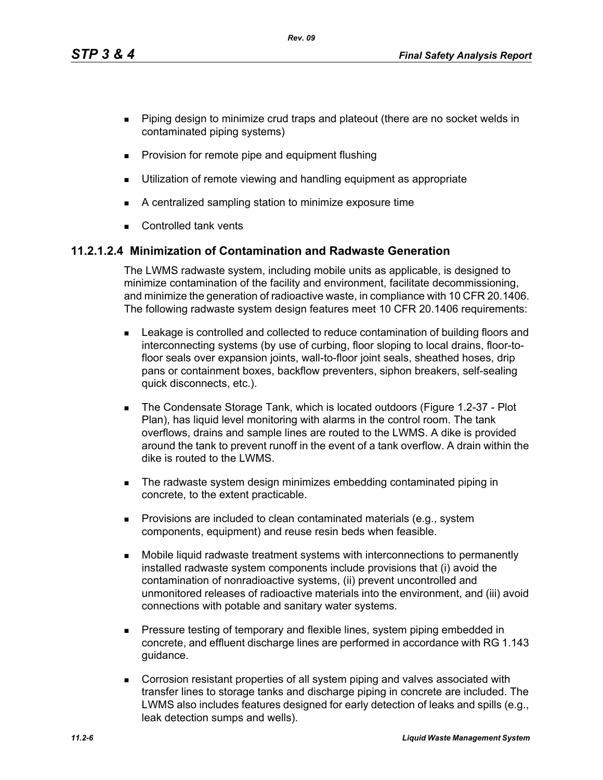*Rev. 09*

- **Piping design to minimize crud traps and plateout (there are no socket welds in** contaminated piping systems)
- **Provision for remote pipe and equipment flushing**
- **Utilization of remote viewing and handling equipment as appropriate**
- A centralized sampling station to minimize exposure time
- **Controlled tank vents**

# **11.2.1.2.4 Minimization of Contamination and Radwaste Generation**

The LWMS radwaste system, including mobile units as applicable, is designed to minimize contamination of the facility and environment, facilitate decommissioning, and minimize the generation of radioactive waste, in compliance with 10 CFR 20.1406. The following radwaste system design features meet 10 CFR 20.1406 requirements:

- Leakage is controlled and collected to reduce contamination of building floors and interconnecting systems (by use of curbing, floor sloping to local drains, floor-tofloor seals over expansion joints, wall-to-floor joint seals, sheathed hoses, drip pans or containment boxes, backflow preventers, siphon breakers, self-sealing quick disconnects, etc.).
- The Condensate Storage Tank, which is located outdoors (Figure 1.2-37 Plot Plan), has liquid level monitoring with alarms in the control room. The tank overflows, drains and sample lines are routed to the LWMS. A dike is provided around the tank to prevent runoff in the event of a tank overflow. A drain within the dike is routed to the LWMS.
- The radwaste system design minimizes embedding contaminated piping in concrete, to the extent practicable.
- **Provisions are included to clean contaminated materials (e.g., system** components, equipment) and reuse resin beds when feasible.
- Mobile liquid radwaste treatment systems with interconnections to permanently installed radwaste system components include provisions that (i) avoid the contamination of nonradioactive systems, (ii) prevent uncontrolled and unmonitored releases of radioactive materials into the environment, and (iii) avoid connections with potable and sanitary water systems.
- **Pressure testing of temporary and flexible lines, system piping embedded in** concrete, and effluent discharge lines are performed in accordance with RG 1.143 guidance.
- Corrosion resistant properties of all system piping and valves associated with transfer lines to storage tanks and discharge piping in concrete are included. The LWMS also includes features designed for early detection of leaks and spills (e.g., leak detection sumps and wells).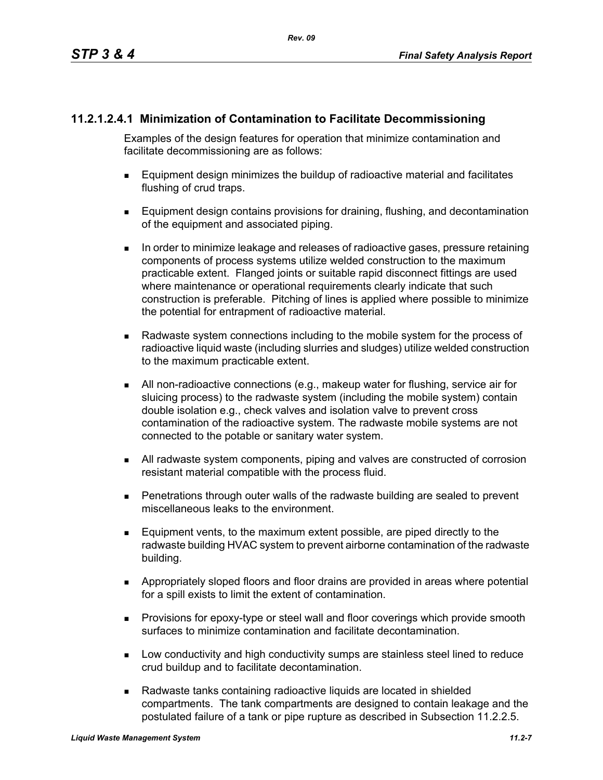# **11.2.1.2.4.1 Minimization of Contamination to Facilitate Decommissioning**

Examples of the design features for operation that minimize contamination and facilitate decommissioning are as follows:

- Equipment design minimizes the buildup of radioactive material and facilitates flushing of crud traps.
- **Equipment design contains provisions for draining, flushing, and decontamination** of the equipment and associated piping.
- In order to minimize leakage and releases of radioactive gases, pressure retaining components of process systems utilize welded construction to the maximum practicable extent. Flanged joints or suitable rapid disconnect fittings are used where maintenance or operational requirements clearly indicate that such construction is preferable. Pitching of lines is applied where possible to minimize the potential for entrapment of radioactive material.
- Radwaste system connections including to the mobile system for the process of radioactive liquid waste (including slurries and sludges) utilize welded construction to the maximum practicable extent.
- All non-radioactive connections (e.g., makeup water for flushing, service air for sluicing process) to the radwaste system (including the mobile system) contain double isolation e.g., check valves and isolation valve to prevent cross contamination of the radioactive system. The radwaste mobile systems are not connected to the potable or sanitary water system.
- All radwaste system components, piping and valves are constructed of corrosion resistant material compatible with the process fluid.
- Penetrations through outer walls of the radwaste building are sealed to prevent miscellaneous leaks to the environment.
- Equipment vents, to the maximum extent possible, are piped directly to the radwaste building HVAC system to prevent airborne contamination of the radwaste building.
- Appropriately sloped floors and floor drains are provided in areas where potential for a spill exists to limit the extent of contamination.
- **Provisions for epoxy-type or steel wall and floor coverings which provide smooth** surfaces to minimize contamination and facilitate decontamination.
- **Low conductivity and high conductivity sumps are stainless steel lined to reduce** crud buildup and to facilitate decontamination.
- Radwaste tanks containing radioactive liquids are located in shielded compartments. The tank compartments are designed to contain leakage and the postulated failure of a tank or pipe rupture as described in Subsection 11.2.2.5.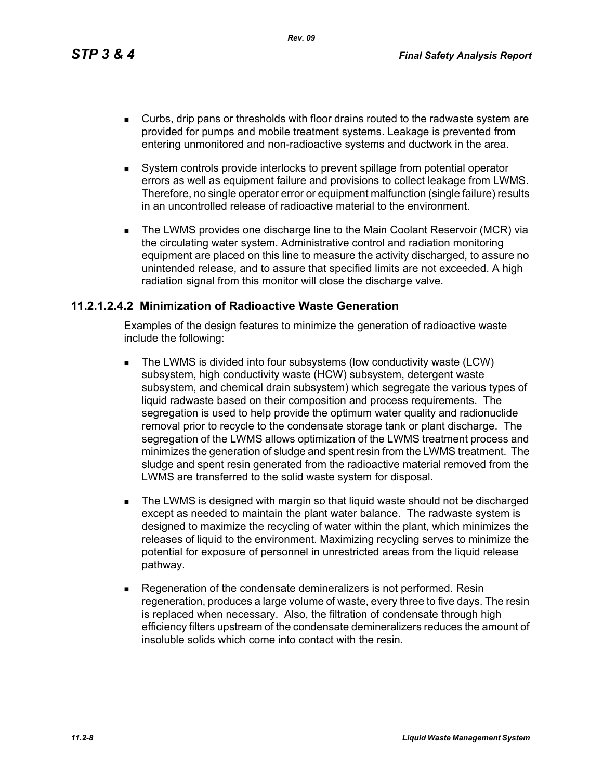*Rev. 09*

- Curbs, drip pans or thresholds with floor drains routed to the radwaste system are provided for pumps and mobile treatment systems. Leakage is prevented from entering unmonitored and non-radioactive systems and ductwork in the area.
- System controls provide interlocks to prevent spillage from potential operator errors as well as equipment failure and provisions to collect leakage from LWMS. Therefore, no single operator error or equipment malfunction (single failure) results in an uncontrolled release of radioactive material to the environment.
- The LWMS provides one discharge line to the Main Coolant Reservoir (MCR) via the circulating water system. Administrative control and radiation monitoring equipment are placed on this line to measure the activity discharged, to assure no unintended release, and to assure that specified limits are not exceeded. A high radiation signal from this monitor will close the discharge valve.

## **11.2.1.2.4.2 Minimization of Radioactive Waste Generation**

Examples of the design features to minimize the generation of radioactive waste include the following:

- The LWMS is divided into four subsystems (low conductivity waste (LCW) subsystem, high conductivity waste (HCW) subsystem, detergent waste subsystem, and chemical drain subsystem) which segregate the various types of liquid radwaste based on their composition and process requirements. The segregation is used to help provide the optimum water quality and radionuclide removal prior to recycle to the condensate storage tank or plant discharge. The segregation of the LWMS allows optimization of the LWMS treatment process and minimizes the generation of sludge and spent resin from the LWMS treatment. The sludge and spent resin generated from the radioactive material removed from the LWMS are transferred to the solid waste system for disposal.
- **The LWMS is designed with margin so that liquid waste should not be discharged** except as needed to maintain the plant water balance. The radwaste system is designed to maximize the recycling of water within the plant, which minimizes the releases of liquid to the environment. Maximizing recycling serves to minimize the potential for exposure of personnel in unrestricted areas from the liquid release pathway.
- Regeneration of the condensate demineralizers is not performed. Resin regeneration, produces a large volume of waste, every three to five days. The resin is replaced when necessary. Also, the filtration of condensate through high efficiency filters upstream of the condensate demineralizers reduces the amount of insoluble solids which come into contact with the resin.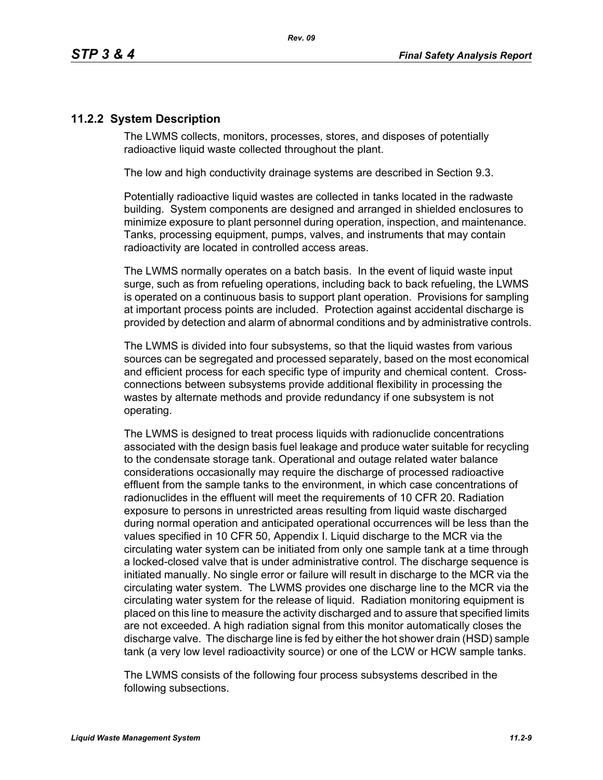# **11.2.2 System Description**

The LWMS collects, monitors, processes, stores, and disposes of potentially radioactive liquid waste collected throughout the plant.

The low and high conductivity drainage systems are described in Section 9.3.

Potentially radioactive liquid wastes are collected in tanks located in the radwaste building. System components are designed and arranged in shielded enclosures to minimize exposure to plant personnel during operation, inspection, and maintenance. Tanks, processing equipment, pumps, valves, and instruments that may contain radioactivity are located in controlled access areas.

The LWMS normally operates on a batch basis. In the event of liquid waste input surge, such as from refueling operations, including back to back refueling, the LWMS is operated on a continuous basis to support plant operation. Provisions for sampling at important process points are included. Protection against accidental discharge is provided by detection and alarm of abnormal conditions and by administrative controls.

The LWMS is divided into four subsystems, so that the liquid wastes from various sources can be segregated and processed separately, based on the most economical and efficient process for each specific type of impurity and chemical content. Crossconnections between subsystems provide additional flexibility in processing the wastes by alternate methods and provide redundancy if one subsystem is not operating.

The LWMS is designed to treat process liquids with radionuclide concentrations associated with the design basis fuel leakage and produce water suitable for recycling to the condensate storage tank. Operational and outage related water balance considerations occasionally may require the discharge of processed radioactive effluent from the sample tanks to the environment, in which case concentrations of radionuclides in the effluent will meet the requirements of 10 CFR 20. Radiation exposure to persons in unrestricted areas resulting from liquid waste discharged during normal operation and anticipated operational occurrences will be less than the values specified in 10 CFR 50, Appendix I. Liquid discharge to the MCR via the circulating water system can be initiated from only one sample tank at a time through a locked-closed valve that is under administrative control. The discharge sequence is initiated manually. No single error or failure will result in discharge to the MCR via the circulating water system. The LWMS provides one discharge line to the MCR via the circulating water system for the release of liquid. Radiation monitoring equipment is placed on this line to measure the activity discharged and to assure that specified limits are not exceeded. A high radiation signal from this monitor automatically closes the discharge valve. The discharge line is fed by either the hot shower drain (HSD) sample tank (a very low level radioactivity source) or one of the LCW or HCW sample tanks.

The LWMS consists of the following four process subsystems described in the following subsections.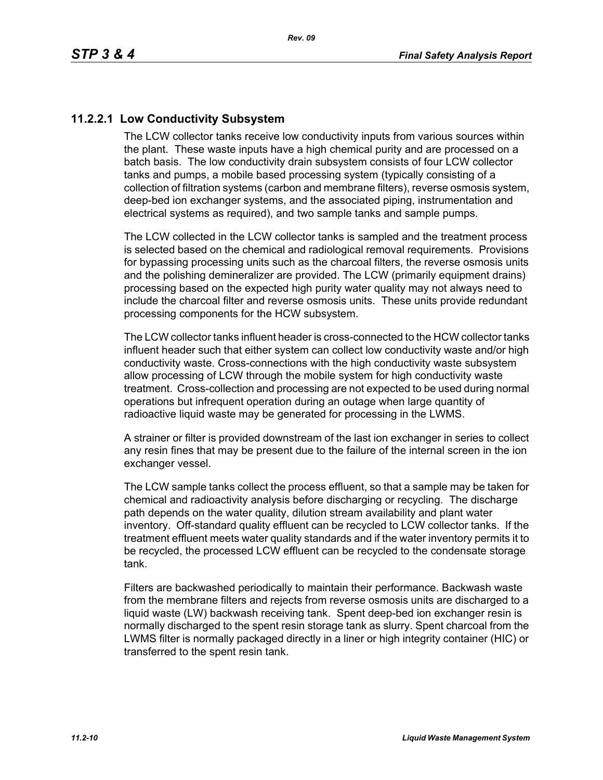# **11.2.2.1 Low Conductivity Subsystem**

The LCW collector tanks receive low conductivity inputs from various sources within the plant. These waste inputs have a high chemical purity and are processed on a batch basis. The low conductivity drain subsystem consists of four LCW collector tanks and pumps, a mobile based processing system (typically consisting of a collection of filtration systems (carbon and membrane filters), reverse osmosis system, deep-bed ion exchanger systems, and the associated piping, instrumentation and electrical systems as required), and two sample tanks and sample pumps.

The LCW collected in the LCW collector tanks is sampled and the treatment process is selected based on the chemical and radiological removal requirements. Provisions for bypassing processing units such as the charcoal filters, the reverse osmosis units and the polishing demineralizer are provided. The LCW (primarily equipment drains) processing based on the expected high purity water quality may not always need to include the charcoal filter and reverse osmosis units. These units provide redundant processing components for the HCW subsystem.

The LCW collector tanks influent header is cross-connected to the HCW collector tanks influent header such that either system can collect low conductivity waste and/or high conductivity waste. Cross-connections with the high conductivity waste subsystem allow processing of LCW through the mobile system for high conductivity waste treatment. Cross-collection and processing are not expected to be used during normal operations but infrequent operation during an outage when large quantity of radioactive liquid waste may be generated for processing in the LWMS.

A strainer or filter is provided downstream of the last ion exchanger in series to collect any resin fines that may be present due to the failure of the internal screen in the ion exchanger vessel.

The LCW sample tanks collect the process effluent, so that a sample may be taken for chemical and radioactivity analysis before discharging or recycling. The discharge path depends on the water quality, dilution stream availability and plant water inventory. Off-standard quality effluent can be recycled to LCW collector tanks. If the treatment effluent meets water quality standards and if the water inventory permits it to be recycled, the processed LCW effluent can be recycled to the condensate storage tank.

Filters are backwashed periodically to maintain their performance. Backwash waste from the membrane filters and rejects from reverse osmosis units are discharged to a liquid waste (LW) backwash receiving tank. Spent deep-bed ion exchanger resin is normally discharged to the spent resin storage tank as slurry. Spent charcoal from the LWMS filter is normally packaged directly in a liner or high integrity container (HIC) or transferred to the spent resin tank.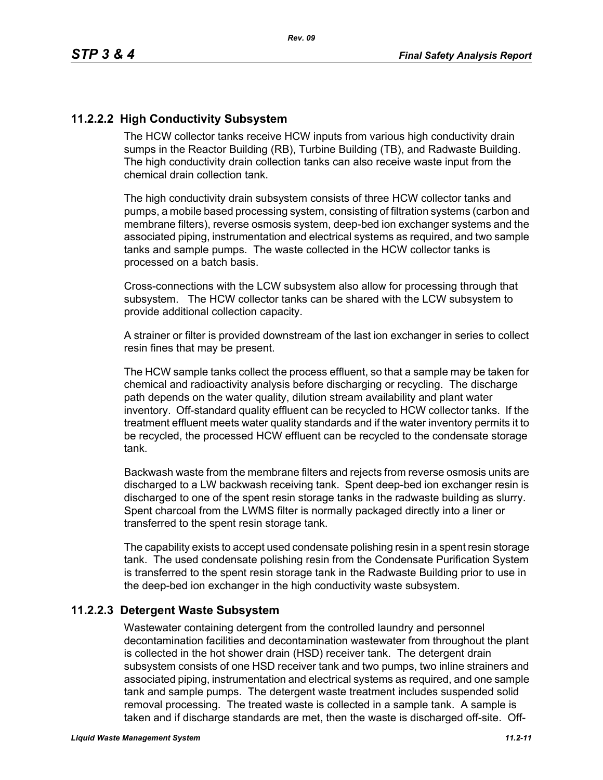# **11.2.2.2 High Conductivity Subsystem**

The HCW collector tanks receive HCW inputs from various high conductivity drain sumps in the Reactor Building (RB), Turbine Building (TB), and Radwaste Building. The high conductivity drain collection tanks can also receive waste input from the chemical drain collection tank.

The high conductivity drain subsystem consists of three HCW collector tanks and pumps, a mobile based processing system, consisting of filtration systems (carbon and membrane filters), reverse osmosis system, deep-bed ion exchanger systems and the associated piping, instrumentation and electrical systems as required, and two sample tanks and sample pumps. The waste collected in the HCW collector tanks is processed on a batch basis.

Cross-connections with the LCW subsystem also allow for processing through that subsystem. The HCW collector tanks can be shared with the LCW subsystem to provide additional collection capacity.

A strainer or filter is provided downstream of the last ion exchanger in series to collect resin fines that may be present.

The HCW sample tanks collect the process effluent, so that a sample may be taken for chemical and radioactivity analysis before discharging or recycling. The discharge path depends on the water quality, dilution stream availability and plant water inventory. Off-standard quality effluent can be recycled to HCW collector tanks. If the treatment effluent meets water quality standards and if the water inventory permits it to be recycled, the processed HCW effluent can be recycled to the condensate storage tank.

Backwash waste from the membrane filters and rejects from reverse osmosis units are discharged to a LW backwash receiving tank. Spent deep-bed ion exchanger resin is discharged to one of the spent resin storage tanks in the radwaste building as slurry. Spent charcoal from the LWMS filter is normally packaged directly into a liner or transferred to the spent resin storage tank.

The capability exists to accept used condensate polishing resin in a spent resin storage tank. The used condensate polishing resin from the Condensate Purification System is transferred to the spent resin storage tank in the Radwaste Building prior to use in the deep-bed ion exchanger in the high conductivity waste subsystem.

#### **11.2.2.3 Detergent Waste Subsystem**

Wastewater containing detergent from the controlled laundry and personnel decontamination facilities and decontamination wastewater from throughout the plant is collected in the hot shower drain (HSD) receiver tank. The detergent drain subsystem consists of one HSD receiver tank and two pumps, two inline strainers and associated piping, instrumentation and electrical systems as required, and one sample tank and sample pumps. The detergent waste treatment includes suspended solid removal processing. The treated waste is collected in a sample tank. A sample is taken and if discharge standards are met, then the waste is discharged off-site. Off-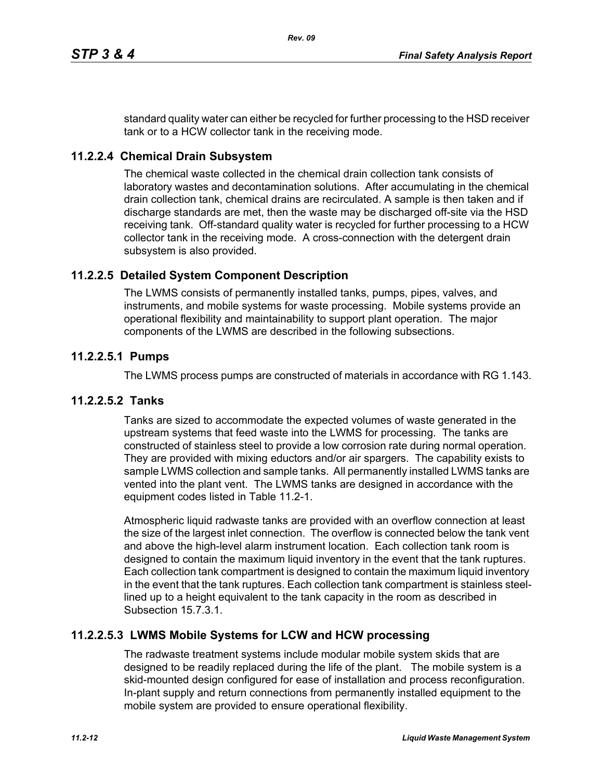standard quality water can either be recycled for further processing to the HSD receiver tank or to a HCW collector tank in the receiving mode.

#### **11.2.2.4 Chemical Drain Subsystem**

The chemical waste collected in the chemical drain collection tank consists of laboratory wastes and decontamination solutions. After accumulating in the chemical drain collection tank, chemical drains are recirculated. A sample is then taken and if discharge standards are met, then the waste may be discharged off-site via the HSD receiving tank. Off-standard quality water is recycled for further processing to a HCW collector tank in the receiving mode. A cross-connection with the detergent drain subsystem is also provided.

## **11.2.2.5 Detailed System Component Description**

The LWMS consists of permanently installed tanks, pumps, pipes, valves, and instruments, and mobile systems for waste processing. Mobile systems provide an operational flexibility and maintainability to support plant operation. The major components of the LWMS are described in the following subsections.

#### **11.2.2.5.1 Pumps**

The LWMS process pumps are constructed of materials in accordance with RG 1.143.

#### **11.2.2.5.2 Tanks**

Tanks are sized to accommodate the expected volumes of waste generated in the upstream systems that feed waste into the LWMS for processing. The tanks are constructed of stainless steel to provide a low corrosion rate during normal operation. They are provided with mixing eductors and/or air spargers. The capability exists to sample LWMS collection and sample tanks. All permanently installed LWMS tanks are vented into the plant vent. The LWMS tanks are designed in accordance with the equipment codes listed in Table 11.2-1.

Atmospheric liquid radwaste tanks are provided with an overflow connection at least the size of the largest inlet connection. The overflow is connected below the tank vent and above the high-level alarm instrument location. Each collection tank room is designed to contain the maximum liquid inventory in the event that the tank ruptures. Each collection tank compartment is designed to contain the maximum liquid inventory in the event that the tank ruptures. Each collection tank compartment is stainless steellined up to a height equivalent to the tank capacity in the room as described in Subsection 15.7.3.1.

#### **11.2.2.5.3 LWMS Mobile Systems for LCW and HCW processing**

The radwaste treatment systems include modular mobile system skids that are designed to be readily replaced during the life of the plant. The mobile system is a skid-mounted design configured for ease of installation and process reconfiguration. In-plant supply and return connections from permanently installed equipment to the mobile system are provided to ensure operational flexibility.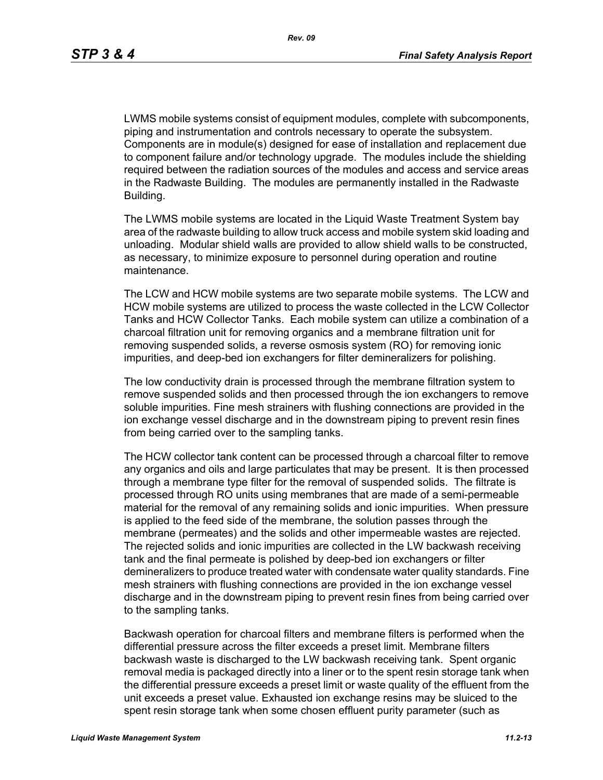LWMS mobile systems consist of equipment modules, complete with subcomponents, piping and instrumentation and controls necessary to operate the subsystem. Components are in module(s) designed for ease of installation and replacement due to component failure and/or technology upgrade. The modules include the shielding required between the radiation sources of the modules and access and service areas in the Radwaste Building. The modules are permanently installed in the Radwaste Building.

The LWMS mobile systems are located in the Liquid Waste Treatment System bay area of the radwaste building to allow truck access and mobile system skid loading and unloading. Modular shield walls are provided to allow shield walls to be constructed, as necessary, to minimize exposure to personnel during operation and routine maintenance.

The LCW and HCW mobile systems are two separate mobile systems. The LCW and HCW mobile systems are utilized to process the waste collected in the LCW Collector Tanks and HCW Collector Tanks. Each mobile system can utilize a combination of a charcoal filtration unit for removing organics and a membrane filtration unit for removing suspended solids, a reverse osmosis system (RO) for removing ionic impurities, and deep-bed ion exchangers for filter demineralizers for polishing.

The low conductivity drain is processed through the membrane filtration system to remove suspended solids and then processed through the ion exchangers to remove soluble impurities. Fine mesh strainers with flushing connections are provided in the ion exchange vessel discharge and in the downstream piping to prevent resin fines from being carried over to the sampling tanks.

The HCW collector tank content can be processed through a charcoal filter to remove any organics and oils and large particulates that may be present. It is then processed through a membrane type filter for the removal of suspended solids. The filtrate is processed through RO units using membranes that are made of a semi-permeable material for the removal of any remaining solids and ionic impurities. When pressure is applied to the feed side of the membrane, the solution passes through the membrane (permeates) and the solids and other impermeable wastes are rejected. The rejected solids and ionic impurities are collected in the LW backwash receiving tank and the final permeate is polished by deep-bed ion exchangers or filter demineralizers to produce treated water with condensate water quality standards. Fine mesh strainers with flushing connections are provided in the ion exchange vessel discharge and in the downstream piping to prevent resin fines from being carried over to the sampling tanks.

Backwash operation for charcoal filters and membrane filters is performed when the differential pressure across the filter exceeds a preset limit. Membrane filters backwash waste is discharged to the LW backwash receiving tank. Spent organic removal media is packaged directly into a liner or to the spent resin storage tank when the differential pressure exceeds a preset limit or waste quality of the effluent from the unit exceeds a preset value. Exhausted ion exchange resins may be sluiced to the spent resin storage tank when some chosen effluent purity parameter (such as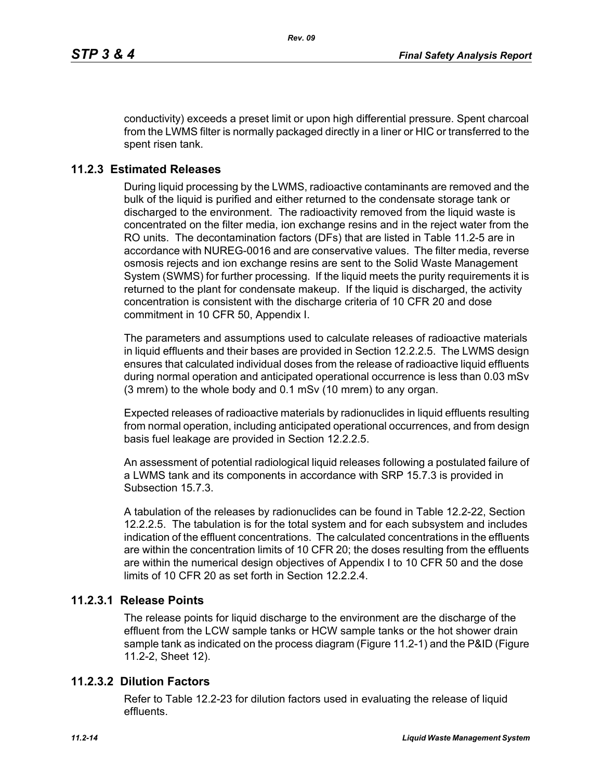conductivity) exceeds a preset limit or upon high differential pressure. Spent charcoal from the LWMS filter is normally packaged directly in a liner or HIC or transferred to the spent risen tank.

# **11.2.3 Estimated Releases**

During liquid processing by the LWMS, radioactive contaminants are removed and the bulk of the liquid is purified and either returned to the condensate storage tank or discharged to the environment. The radioactivity removed from the liquid waste is concentrated on the filter media, ion exchange resins and in the reject water from the RO units. The decontamination factors (DFs) that are listed in Table 11.2-5 are in accordance with NUREG-0016 and are conservative values. The filter media, reverse osmosis rejects and ion exchange resins are sent to the Solid Waste Management System (SWMS) for further processing. If the liquid meets the purity requirements it is returned to the plant for condensate makeup. If the liquid is discharged, the activity concentration is consistent with the discharge criteria of 10 CFR 20 and dose commitment in 10 CFR 50, Appendix I.

The parameters and assumptions used to calculate releases of radioactive materials in liquid effluents and their bases are provided in Section 12.2.2.5. The LWMS design ensures that calculated individual doses from the release of radioactive liquid effluents during normal operation and anticipated operational occurrence is less than 0.03 mSv (3 mrem) to the whole body and 0.1 mSv (10 mrem) to any organ.

Expected releases of radioactive materials by radionuclides in liquid effluents resulting from normal operation, including anticipated operational occurrences, and from design basis fuel leakage are provided in Section 12.2.2.5.

An assessment of potential radiological liquid releases following a postulated failure of a LWMS tank and its components in accordance with SRP 15.7.3 is provided in Subsection 15.7.3.

A tabulation of the releases by radionuclides can be found in Table 12.2-22, Section 12.2.2.5. The tabulation is for the total system and for each subsystem and includes indication of the effluent concentrations. The calculated concentrations in the effluents are within the concentration limits of 10 CFR 20; the doses resulting from the effluents are within the numerical design objectives of Appendix I to 10 CFR 50 and the dose limits of 10 CFR 20 as set forth in Section 12.2.2.4

# **11.2.3.1 Release Points**

The release points for liquid discharge to the environment are the discharge of the effluent from the LCW sample tanks or HCW sample tanks or the hot shower drain sample tank as indicated on the process diagram (Figure 11.2-1) and the P&ID (Figure 11.2-2, Sheet 12).

# **11.2.3.2 Dilution Factors**

Refer to Table 12.2-23 for dilution factors used in evaluating the release of liquid effluents.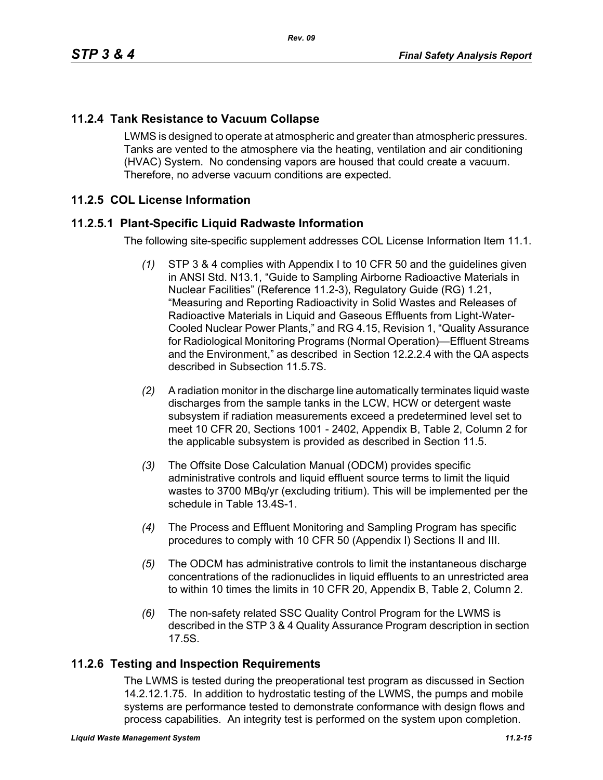# **11.2.4 Tank Resistance to Vacuum Collapse**

LWMS is designed to operate at atmospheric and greater than atmospheric pressures. Tanks are vented to the atmosphere via the heating, ventilation and air conditioning (HVAC) System. No condensing vapors are housed that could create a vacuum. Therefore, no adverse vacuum conditions are expected.

# **11.2.5 COL License Information**

## **11.2.5.1 Plant-Specific Liquid Radwaste Information**

The following site-specific supplement addresses COL License Information Item 11.1.

- *(1)* STP 3 & 4 complies with Appendix I to 10 CFR 50 and the guidelines given in ANSI Std. N13.1, "Guide to Sampling Airborne Radioactive Materials in Nuclear Facilities" (Reference 11.2-3), Regulatory Guide (RG) 1.21, "Measuring and Reporting Radioactivity in Solid Wastes and Releases of Radioactive Materials in Liquid and Gaseous Effluents from Light-Water-Cooled Nuclear Power Plants," and RG 4.15, Revision 1, "Quality Assurance for Radiological Monitoring Programs (Normal Operation)—Effluent Streams and the Environment," as described in Section 12.2.2.4 with the QA aspects described in Subsection 11.5.7S.
- *(2)* A radiation monitor in the discharge line automatically terminates liquid waste discharges from the sample tanks in the LCW, HCW or detergent waste subsystem if radiation measurements exceed a predetermined level set to meet 10 CFR 20, Sections 1001 - 2402, Appendix B, Table 2, Column 2 for the applicable subsystem is provided as described in Section 11.5.
- *(3)* The Offsite Dose Calculation Manual (ODCM) provides specific administrative controls and liquid effluent source terms to limit the liquid wastes to 3700 MBq/yr (excluding tritium). This will be implemented per the schedule in Table 13.4S-1.
- *(4)* The Process and Effluent Monitoring and Sampling Program has specific procedures to comply with 10 CFR 50 (Appendix I) Sections II and III.
- *(5)* The ODCM has administrative controls to limit the instantaneous discharge concentrations of the radionuclides in liquid effluents to an unrestricted area to within 10 times the limits in 10 CFR 20, Appendix B, Table 2, Column 2.
- *(6)* The non-safety related SSC Quality Control Program for the LWMS is described in the STP 3 & 4 Quality Assurance Program description in section 17.5S.

#### **11.2.6 Testing and Inspection Requirements**

The LWMS is tested during the preoperational test program as discussed in Section 14.2.12.1.75. In addition to hydrostatic testing of the LWMS, the pumps and mobile systems are performance tested to demonstrate conformance with design flows and process capabilities. An integrity test is performed on the system upon completion.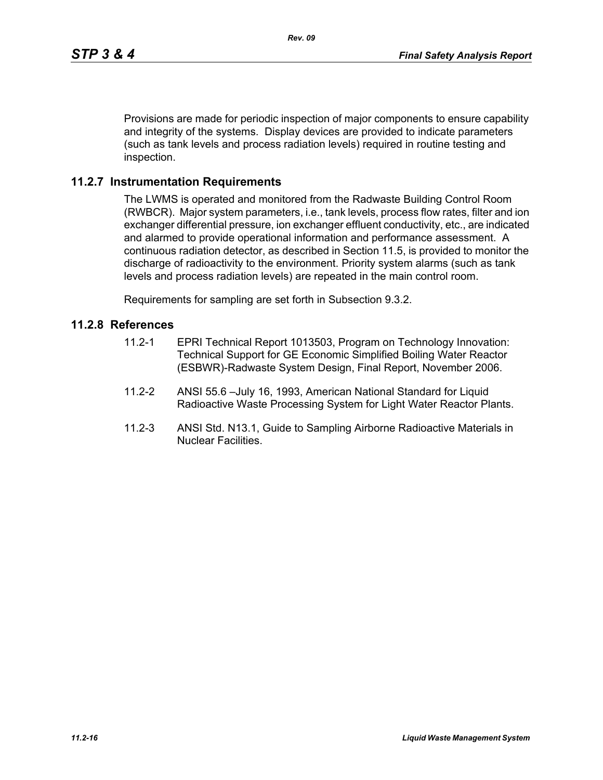Provisions are made for periodic inspection of major components to ensure capability and integrity of the systems. Display devices are provided to indicate parameters (such as tank levels and process radiation levels) required in routine testing and inspection.

#### **11.2.7 Instrumentation Requirements**

The LWMS is operated and monitored from the Radwaste Building Control Room (RWBCR). Major system parameters, i.e., tank levels, process flow rates, filter and ion exchanger differential pressure, ion exchanger effluent conductivity, etc., are indicated and alarmed to provide operational information and performance assessment. A continuous radiation detector, as described in Section 11.5, is provided to monitor the discharge of radioactivity to the environment. Priority system alarms (such as tank levels and process radiation levels) are repeated in the main control room.

Requirements for sampling are set forth in Subsection 9.3.2.

#### **11.2.8 References**

- 11.2-1 EPRI Technical Report 1013503, Program on Technology Innovation: Technical Support for GE Economic Simplified Boiling Water Reactor (ESBWR)-Radwaste System Design, Final Report, November 2006.
- 11.2-2 ANSI 55.6 –July 16, 1993, American National Standard for Liquid Radioactive Waste Processing System for Light Water Reactor Plants.
- 11.2-3 ANSI Std. N13.1, Guide to Sampling Airborne Radioactive Materials in Nuclear Facilities.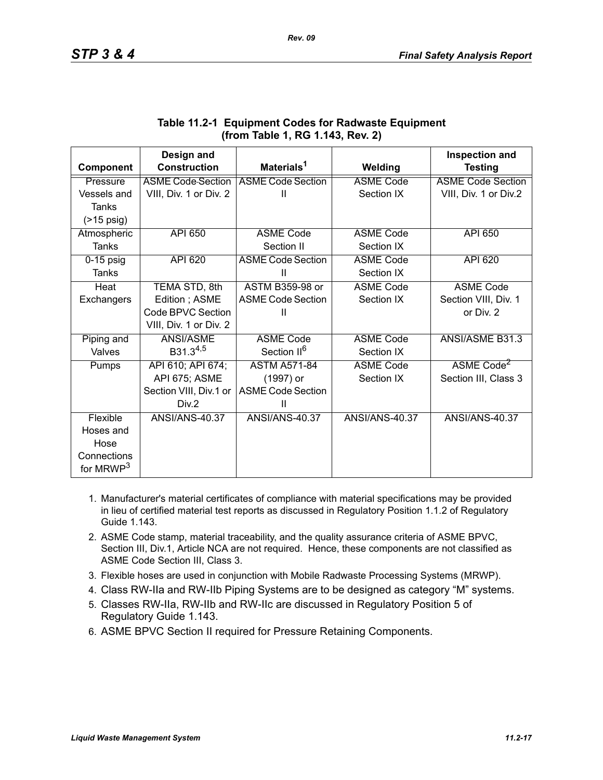|                       | Design and               |                          |                       | <b>Inspection and</b>    |
|-----------------------|--------------------------|--------------------------|-----------------------|--------------------------|
| Component             | <b>Construction</b>      | Materials <sup>1</sup>   | Welding               | <b>Testing</b>           |
| Pressure              | <b>ASME Code Section</b> | <b>ASME Code Section</b> | <b>ASME Code</b>      | <b>ASME Code Section</b> |
| Vessels and           | VIII, Div. 1 or Div. 2   | $\mathbf{I}$             | Section IX            | VIII, Div. 1 or Div.2    |
| <b>Tanks</b>          |                          |                          |                       |                          |
| $($ >15 psig)         |                          |                          |                       |                          |
| Atmospheric           | <b>API 650</b>           | <b>ASME Code</b>         | <b>ASME Code</b>      | API 650                  |
| <b>Tanks</b>          |                          | Section II               | Section IX            |                          |
| $0-15$ psig           | API 620                  | <b>ASME Code Section</b> | <b>ASME Code</b>      | API 620                  |
| <b>Tanks</b>          |                          | Ш                        | Section IX            |                          |
| Heat                  | TEMA STD, 8th            | <b>ASTM B359-98 or</b>   | <b>ASME Code</b>      | <b>ASME Code</b>         |
| Exchangers            | Edition; ASME            | <b>ASME Code Section</b> | Section IX            | Section VIII, Div. 1     |
|                       | Code BPVC Section        | Ш                        |                       | or Div. 2                |
|                       | VIII, Div. 1 or Div. 2   |                          |                       |                          |
| Piping and            | ANSI/ASME                | <b>ASME Code</b>         | <b>ASME Code</b>      | ANSI/ASME B31.3          |
| Valves                | B31.3 <sup>4,5</sup>     | Section II <sup>6</sup>  | Section IX            |                          |
| Pumps                 | API 610; API 674;        | <b>ASTM A571-84</b>      | <b>ASME Code</b>      | ASME Code <sup>2</sup>   |
|                       | API 675; ASME            | (1997) or                | Section IX            | Section III, Class 3     |
|                       | Section VIII, Div.1 or   | <b>ASME Code Section</b> |                       |                          |
|                       | Div.2                    | Ш                        |                       |                          |
| Flexible              | ANSI/ANS-40.37           | <b>ANSI/ANS-40.37</b>    | <b>ANSI/ANS-40.37</b> | <b>ANSI/ANS-40.37</b>    |
| Hoses and             |                          |                          |                       |                          |
| Hose                  |                          |                          |                       |                          |
| Connections           |                          |                          |                       |                          |
| for MRWP <sup>3</sup> |                          |                          |                       |                          |

# **Table 11.2-1 Equipment Codes for Radwaste Equipment (from Table 1, RG 1.143, Rev. 2)**

- 1. Manufacturer's material certificates of compliance with material specifications may be provided in lieu of certified material test reports as discussed in Regulatory Position 1.1.2 of Regulatory Guide 1.143.
- 2. ASME Code stamp, material traceability, and the quality assurance criteria of ASME BPVC, Section III, Div.1, Article NCA are not required. Hence, these components are not classified as ASME Code Section III, Class 3.
- 3. Flexible hoses are used in conjunction with Mobile Radwaste Processing Systems (MRWP).
- 4. Class RW-IIa and RW-IIb Piping Systems are to be designed as category "M" systems.
- 5. Classes RW-IIa, RW-IIb and RW-IIc are discussed in Regulatory Position 5 of Regulatory Guide 1.143.
- 6. ASME BPVC Section II required for Pressure Retaining Components.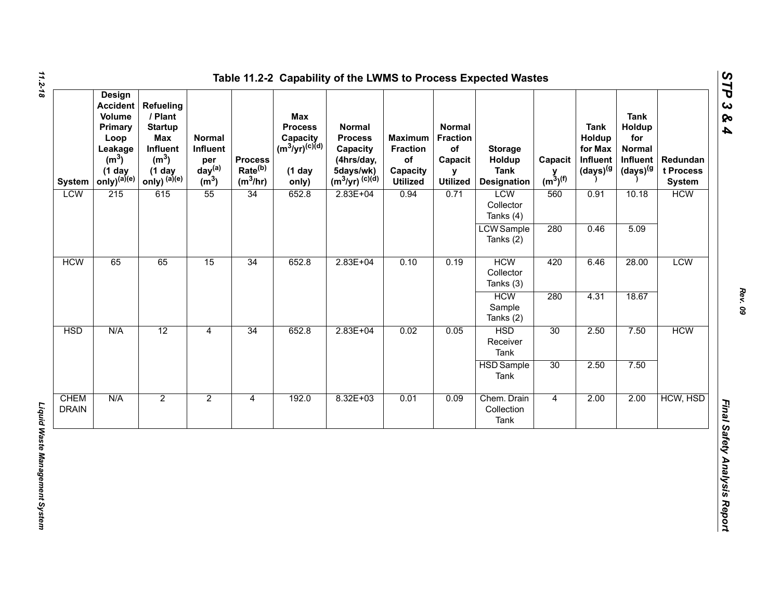| <b>System</b>               | <b>Design</b><br><b>Accident</b><br>Volume<br>Primary<br>Loop<br>Leakage<br>(m <sup>3</sup> )<br>$(1$ day<br>$only)^{(a)(e)}$ | Refueling<br>/ Plant<br><b>Startup</b><br>Max<br>Influent<br>(m <sup>3</sup> )<br>$(1$ day<br>only) $^{(a)(e)}$ | Normal<br>Influent<br>per<br>day <sup>(a)</sup><br>(m <sup>3</sup> ) | <b>Process</b><br>Rate <sup>(b)</sup><br>$(m^3/hr)$ | Max<br><b>Process</b><br>Capacity<br>(m <sup>3</sup> /yr) <sup>(c)(d)</sup><br>$(1$ day<br>only) | <b>Normal</b><br><b>Process</b><br>Capacity<br>(4hrs/day,<br>5days/wk)<br>$(m^3/yr)^{(c)(d)}$ | <b>Maximum</b><br><b>Fraction</b><br>of<br>Capacity<br><b>Utilized</b> | <b>Normal</b><br><b>Fraction</b><br>of<br>Capacit<br>y<br><b>Utilized</b> | <b>Storage</b><br>Holdup<br><b>Tank</b><br><b>Designation</b> | Capacit<br>$y$ <sub>(m<sup>3</sup>)<sup>(f)</sup></sub> | <b>Tank</b><br>Holdup<br>for Max<br>Influent<br>$(days)^{(g)}$ | <b>Tank</b><br>Holdup<br>for<br><b>Normal</b><br>Influent<br>(days) <sup>(g</sup> | Redundan<br>t Process<br><b>System</b> |            |
|-----------------------------|-------------------------------------------------------------------------------------------------------------------------------|-----------------------------------------------------------------------------------------------------------------|----------------------------------------------------------------------|-----------------------------------------------------|--------------------------------------------------------------------------------------------------|-----------------------------------------------------------------------------------------------|------------------------------------------------------------------------|---------------------------------------------------------------------------|---------------------------------------------------------------|---------------------------------------------------------|----------------------------------------------------------------|-----------------------------------------------------------------------------------|----------------------------------------|------------|
| <b>LCW</b>                  | 215                                                                                                                           | 615                                                                                                             | 55                                                                   | 34                                                  | 652.8                                                                                            | $2.83E + 04$                                                                                  | 0.94                                                                   | 0.71                                                                      | LCW<br>Collector<br>Tanks (4)                                 | 560                                                     | 0.91                                                           | 10.18                                                                             | <b>HCW</b>                             |            |
|                             |                                                                                                                               |                                                                                                                 |                                                                      |                                                     |                                                                                                  |                                                                                               |                                                                        |                                                                           | <b>LCW</b> Sample<br>Tanks (2)                                | 280                                                     | 0.46                                                           | 5.09                                                                              |                                        |            |
| <b>HCW</b>                  | 65                                                                                                                            | 65                                                                                                              | 15                                                                   | 34                                                  | 652.8                                                                                            |                                                                                               | $2.83E + 04$                                                           | 0.10                                                                      | 0.19                                                          | <b>HCW</b><br>Collector<br>Tanks (3)                    | 420                                                            | 6.46                                                                              | 28.00                                  | <b>LCW</b> |
|                             |                                                                                                                               |                                                                                                                 |                                                                      |                                                     |                                                                                                  |                                                                                               |                                                                        |                                                                           | <b>HCW</b><br>Sample<br>Tanks (2)                             | 280                                                     | 4.31                                                           | 18.67                                                                             |                                        |            |
| <b>HSD</b>                  | N/A                                                                                                                           | 12                                                                                                              | $\overline{4}$                                                       | 34                                                  | 652.8                                                                                            | $2.83E + 04$                                                                                  | 0.02                                                                   | 0.05                                                                      | <b>HSD</b><br>Receiver<br>Tank                                | 30                                                      | 2.50                                                           | 7.50                                                                              | <b>HCW</b>                             |            |
|                             |                                                                                                                               |                                                                                                                 |                                                                      |                                                     |                                                                                                  |                                                                                               |                                                                        |                                                                           | <b>HSD</b> Sample<br>Tank                                     | 30                                                      | 2.50                                                           | 7.50                                                                              |                                        |            |
| <b>CHEM</b><br><b>DRAIN</b> | N/A                                                                                                                           | $\overline{2}$                                                                                                  | $\overline{2}$                                                       | $\overline{4}$                                      | 192.0                                                                                            | $8.32E + 03$                                                                                  | 0.01                                                                   | 0.09                                                                      | Chem. Drain<br>Collection<br>Tank                             | $\overline{4}$                                          | 2.00                                                           | 2.00                                                                              | HCW, HSD                               |            |

*Rev. 09*

*STP 3 & 4*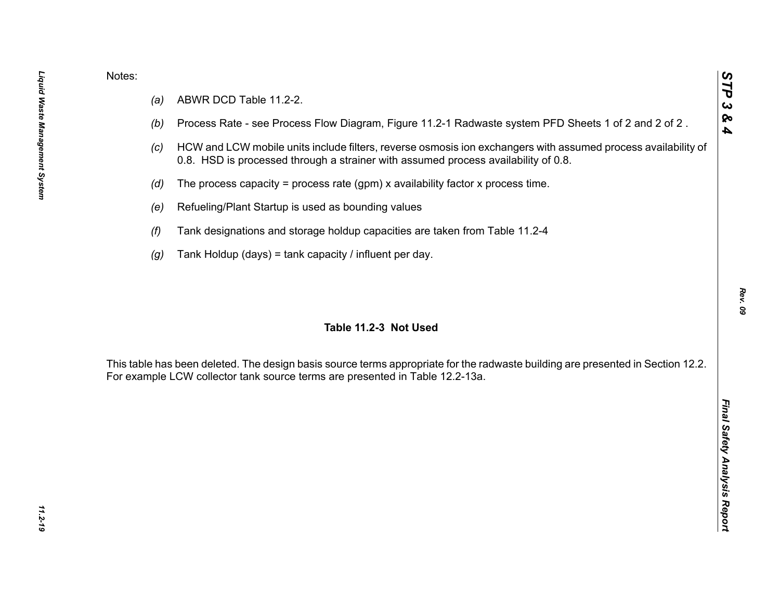- 
- 
- 
- 
- 
- 
- 

Notes:<br>
(a) ABWR DCD Table 11.2-2.<br>
(b) Process Rate - see Process Flow Diagram, Figure 11.2-1 Radwaste system PFD Sheets 1 of 2 and 2 of 2.<br>
(c) HCW and LCW mobile units include filters, reverse osmosis ion exchangers wit

*STP 3 & 4*

11.2-19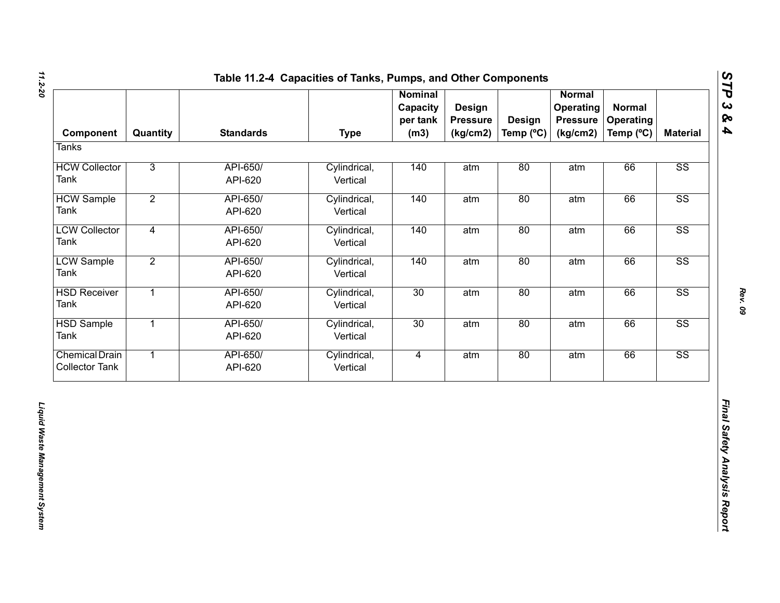| Component                                      | Quantity       | <b>Standards</b>    | <b>Type</b>              | <b>Nominal</b><br>Capacity<br>per tank<br>(m3) | Design<br><b>Pressure</b><br>(kg/cm2) | <b>Design</b><br>Temp (°C) | <b>Normal</b><br>Operating<br><b>Pressure</b><br>(kg/cm2) | <b>Normal</b><br><b>Operating</b><br>Temp (°C) | <b>Material</b>        |
|------------------------------------------------|----------------|---------------------|--------------------------|------------------------------------------------|---------------------------------------|----------------------------|-----------------------------------------------------------|------------------------------------------------|------------------------|
| <b>Tanks</b>                                   |                |                     |                          |                                                |                                       |                            |                                                           |                                                |                        |
| <b>HCW Collector</b><br>Tank                   | $\overline{3}$ | API-650/<br>API-620 | Cylindrical,<br>Vertical | 140                                            | atm                                   | 80                         | atm                                                       | 66                                             | SS                     |
| <b>HCW Sample</b><br>Tank                      | $\overline{2}$ | API-650/<br>API-620 | Cylindrical,<br>Vertical | 140                                            | atm                                   | 80                         | atm                                                       | 66                                             | $\overline{\text{SS}}$ |
| <b>LCW Collector</b><br>Tank                   | $\overline{4}$ | API-650/<br>API-620 | Cylindrical,<br>Vertical | 140                                            | atm                                   | 80                         | atm                                                       | 66                                             | $\overline{\text{SS}}$ |
| <b>LCW Sample</b><br>Tank                      | $\overline{2}$ | API-650/<br>API-620 | Cylindrical,<br>Vertical | 140                                            | atm                                   | 80                         | atm                                                       | 66                                             | $\overline{\text{SS}}$ |
| <b>HSD Receiver</b><br>Tank                    | $\overline{1}$ | API-650/<br>API-620 | Cylindrical,<br>Vertical | 30                                             | atm                                   | 80                         | atm                                                       | 66                                             | SS                     |
| <b>HSD Sample</b><br>Tank                      | $\overline{1}$ | API-650/<br>API-620 | Cylindrical,<br>Vertical | 30                                             | atm                                   | 80                         | atm                                                       | 66                                             | $\overline{\text{SS}}$ |
| <b>Chemical Drain</b><br><b>Collector Tank</b> | $\overline{1}$ | API-650/<br>API-620 | Cylindrical,<br>Vertical | $\overline{4}$                                 | atm                                   | 80                         | atm                                                       | 66                                             | SS                     |
|                                                |                |                     |                          |                                                |                                       |                            |                                                           |                                                |                        |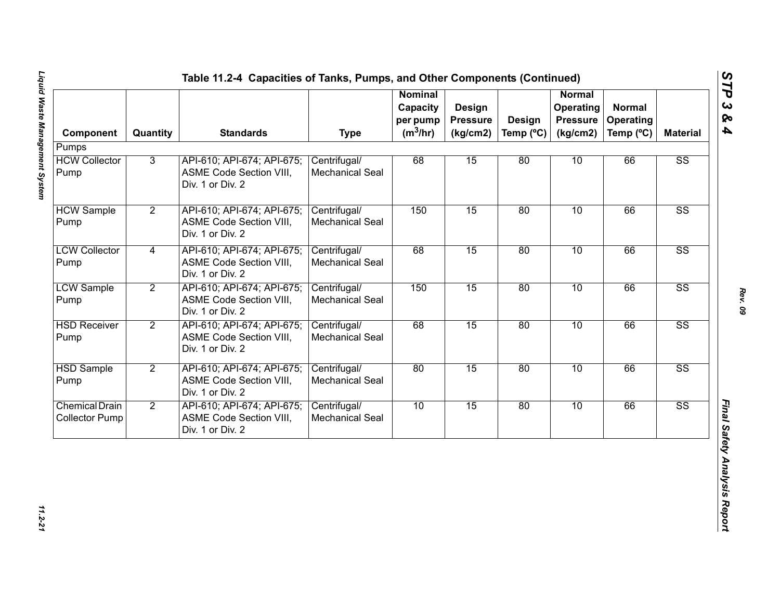| Component                                      | Quantity       | <b>Standards</b>                                                                 | <b>Type</b>                            | <b>Nominal</b><br>Capacity<br>per pump<br>$(m^3/hr)$ | Design<br><b>Pressure</b><br>(kg/cm2) | <b>Design</b><br>Temp $(^{\circ}C)$ | <b>Normal</b><br>Operating<br><b>Pressure</b><br>(kg/cm2) | <b>Normal</b><br><b>Operating</b><br>Temp (°C) | <b>Material</b>        |
|------------------------------------------------|----------------|----------------------------------------------------------------------------------|----------------------------------------|------------------------------------------------------|---------------------------------------|-------------------------------------|-----------------------------------------------------------|------------------------------------------------|------------------------|
| Pumps                                          |                |                                                                                  |                                        |                                                      |                                       |                                     |                                                           |                                                |                        |
| <b>HCW Collector</b><br>Pump                   | 3              | API-610; API-674; API-675;<br><b>ASME Code Section VIII,</b><br>Div. 1 or Div. 2 | Centrifugal/<br><b>Mechanical Seal</b> | 68                                                   | 15                                    | 80                                  | 10                                                        | 66                                             | $\overline{\text{SS}}$ |
| <b>HCW Sample</b><br>Pump                      | $\overline{2}$ | API-610; API-674; API-675;<br>ASME Code Section VIII,<br>Div. 1 or Div. 2        | Centrifugal/<br><b>Mechanical Seal</b> | 150                                                  | 15                                    | 80                                  | 10                                                        | 66                                             | $\overline{\text{SS}}$ |
| <b>LCW Collector</b><br>Pump                   | $\overline{4}$ | API-610; API-674; API-675;<br>ASME Code Section VIII,<br>Div. 1 or Div. 2        | Centrifugal/<br><b>Mechanical Seal</b> | 68                                                   | 15                                    | 80                                  | 10                                                        | 66                                             | $\overline{\text{SS}}$ |
| <b>LCW Sample</b><br>Pump                      | $\overline{2}$ | API-610; API-674; API-675;<br>ASME Code Section VIII,<br>Div. 1 or Div. 2        | Centrifugal/<br><b>Mechanical Seal</b> | 150                                                  | 15                                    | 80                                  | 10                                                        | 66                                             | $\overline{\text{SS}}$ |
| <b>HSD Receiver</b><br>Pump                    | $\overline{2}$ | API-610; API-674; API-675;<br><b>ASME Code Section VIII,</b><br>Div. 1 or Div. 2 | Centrifugal/<br>Mechanical Seal        | 68                                                   | 15                                    | 80                                  | 10                                                        | 66                                             | $\overline{\text{SS}}$ |
| <b>HSD Sample</b><br>Pump                      | $\overline{2}$ | API-610; API-674; API-675;<br><b>ASME Code Section VIII,</b><br>Div. 1 or Div. 2 | Centrifugal/<br>Mechanical Seal        | 80                                                   | 15                                    | 80                                  | 10                                                        | 66                                             | $\overline{\text{SS}}$ |
| <b>Chemical Drain</b><br><b>Collector Pump</b> | $\overline{2}$ | API-610; API-674; API-675;<br>ASME Code Section VIII,<br>Div. 1 or Div. 2        | Centrifugal/<br><b>Mechanical Seal</b> | 10                                                   | 15                                    | 80                                  | 10                                                        | 66                                             | $\overline{\text{SS}}$ |

*STP 3 & 4*

11.2-21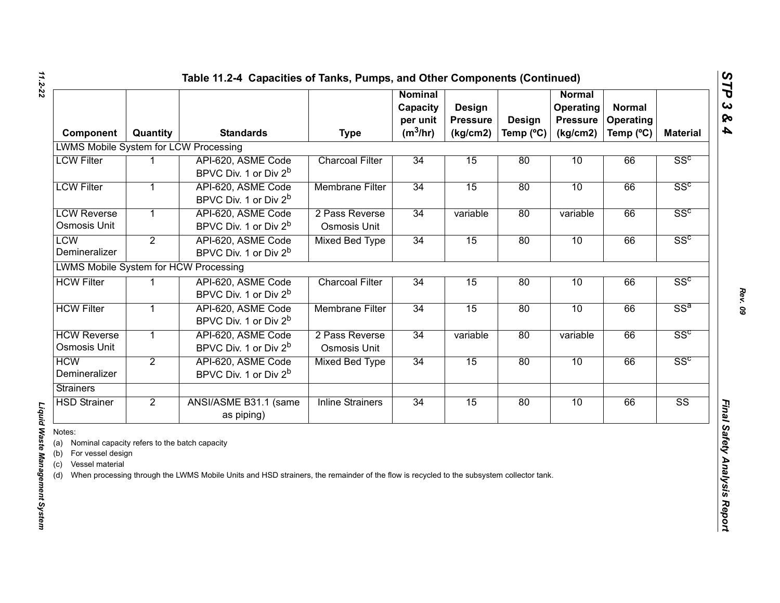| Component                                                                                                             | Quantity       | <b>Standards</b>                                                                                                                        | <b>Type</b>                    | <b>Nominal</b><br>Capacity<br>per unit<br>$(m^3/hr)$ | Design<br><b>Pressure</b><br>(kg/cm2) | <b>Design</b><br>Temp $(^{\circ}C)$ | Normal<br><b>Operating</b><br><b>Pressure</b><br>(kg/cm2) | <b>Normal</b><br>Operating<br>Temp (°C) | <b>Material</b>        |
|-----------------------------------------------------------------------------------------------------------------------|----------------|-----------------------------------------------------------------------------------------------------------------------------------------|--------------------------------|------------------------------------------------------|---------------------------------------|-------------------------------------|-----------------------------------------------------------|-----------------------------------------|------------------------|
| <b>LWMS Mobile System for LCW Processing</b>                                                                          |                |                                                                                                                                         |                                |                                                      |                                       |                                     |                                                           |                                         |                        |
| <b>LCW Filter</b>                                                                                                     |                | API-620, ASME Code<br>BPVC Div. 1 or Div 2 <sup>b</sup>                                                                                 | <b>Charcoal Filter</b>         | 34                                                   | 15                                    | 80                                  | 10                                                        | 66                                      | SS <sup>c</sup>        |
| <b>LCW Filter</b>                                                                                                     | 1              | API-620, ASME Code<br>BPVC Div. 1 or Div 2 <sup>b</sup>                                                                                 | <b>Membrane Filter</b>         | 34                                                   | 15                                    | 80                                  | 10                                                        | 66                                      | SS <sup>c</sup>        |
| <b>LCW Reverse</b><br>Osmosis Unit                                                                                    | $\mathbf{1}$   | API-620, ASME Code<br>BPVC Div. 1 or Div 2 <sup>b</sup>                                                                                 | 2 Pass Reverse<br>Osmosis Unit | 34                                                   | variable                              | 80                                  | variable                                                  | 66                                      | SS <sup>c</sup>        |
| <b>LCW</b><br>Demineralizer                                                                                           | $\overline{2}$ | API-620, ASME Code<br>BPVC Div. 1 or Div 2 <sup>b</sup>                                                                                 | <b>Mixed Bed Type</b>          | 34                                                   | 15                                    | 80                                  | 10                                                        | 66                                      | SS <sup>c</sup>        |
| <b>LWMS Mobile System for HCW Processing</b>                                                                          |                |                                                                                                                                         |                                |                                                      |                                       |                                     |                                                           |                                         |                        |
| <b>HCW Filter</b>                                                                                                     |                | API-620, ASME Code<br>BPVC Div. 1 or Div 2 <sup>b</sup>                                                                                 | <b>Charcoal Filter</b>         | 34                                                   | 15                                    | 80                                  | 10                                                        | 66                                      | SS <sup>c</sup>        |
| <b>HCW Filter</b>                                                                                                     | $\mathbf{1}$   | API-620, ASME Code<br>BPVC Div. 1 or Div 2 <sup>b</sup>                                                                                 | <b>Membrane Filter</b>         | 34                                                   | 15                                    | 80                                  | 10                                                        | 66                                      | $SS^a$                 |
| <b>HCW Reverse</b><br>Osmosis Unit                                                                                    | $\mathbf{1}$   | API-620, ASME Code<br>BPVC Div. 1 or Div 2 <sup>b</sup>                                                                                 | 2 Pass Reverse<br>Osmosis Unit | 34                                                   | variable                              | 80                                  | variable                                                  | 66                                      | SS <sup>c</sup>        |
| <b>HCW</b><br>Demineralizer                                                                                           | $\overline{2}$ | API-620, ASME Code<br>BPVC Div. 1 or Div 2 <sup>b</sup>                                                                                 | <b>Mixed Bed Type</b>          | 34                                                   | 15                                    | 80                                  | 10                                                        | 66                                      | SS <sup>c</sup>        |
| <b>Strainers</b>                                                                                                      |                |                                                                                                                                         |                                |                                                      |                                       |                                     |                                                           |                                         |                        |
| <b>HSD Strainer</b>                                                                                                   | $\overline{2}$ | ANSI/ASME B31.1 (same<br>as piping)                                                                                                     | <b>Inline Strainers</b>        | 34                                                   | 15                                    | 80                                  | 10                                                        | 66                                      | $\overline{\text{SS}}$ |
| Notes:<br>(a) Nominal capacity refers to the batch capacity<br>(b) For vessel design<br>Vessel material<br>(c)<br>(d) |                | When processing through the LWMS Mobile Units and HSD strainers, the remainder of the flow is recycled to the subsystem collector tank. |                                |                                                      |                                       |                                     |                                                           |                                         |                        |

# Liquid Waste Management System *Liquid Waste Management System*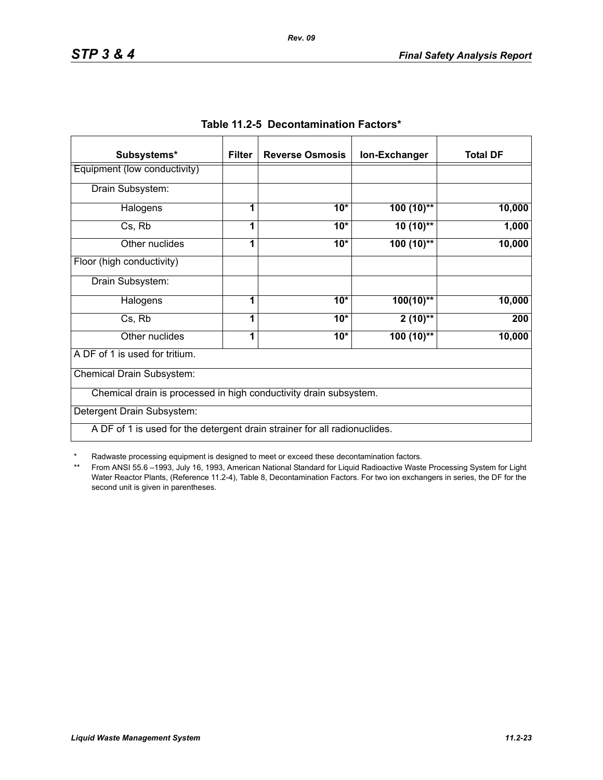| Subsystems*                                                               | <b>Filter</b> | <b>Reverse Osmosis</b> | Ion-Exchanger | <b>Total DF</b> |
|---------------------------------------------------------------------------|---------------|------------------------|---------------|-----------------|
| Equipment (low conductivity)                                              |               |                        |               |                 |
| Drain Subsystem:                                                          |               |                        |               |                 |
| Halogens                                                                  | 1             | $10*$                  | $100(10)$ **  | 10,000          |
| Cs, Rb                                                                    | 1             | $10*$                  | $10(10)$ **   | 1,000           |
| Other nuclides                                                            | 1             | $10*$                  | $100(10)$ **  | 10,000          |
| Floor (high conductivity)                                                 |               |                        |               |                 |
| Drain Subsystem:                                                          |               |                        |               |                 |
| Halogens                                                                  | 1             | $10*$                  | $100(10)$ **  | 10,000          |
| Cs, Rb                                                                    | 1             | $10*$                  | $2(10)$ **    | 200             |
| Other nuclides                                                            | 1             | $10*$                  | $100(10)$ **  | 10,000          |
| A DF of 1 is used for tritium.                                            |               |                        |               |                 |
| Chemical Drain Subsystem:                                                 |               |                        |               |                 |
| Chemical drain is processed in high conductivity drain subsystem.         |               |                        |               |                 |
| Detergent Drain Subsystem:                                                |               |                        |               |                 |
| A DF of 1 is used for the detergent drain strainer for all radionuclides. |               |                        |               |                 |

|  | Table 11.2-5 Decontamination Factors* |  |
|--|---------------------------------------|--|
|--|---------------------------------------|--|

*Rev. 09*

\* Radwaste processing equipment is designed to meet or exceed these decontamination factors.

\*\* From ANSI 55.6 –1993, July 16, 1993, American National Standard for Liquid Radioactive Waste Processing System for Light Water Reactor Plants, (Reference 11.2-4), Table 8, Decontamination Factors. For two ion exchangers in series, the DF for the second unit is given in parentheses.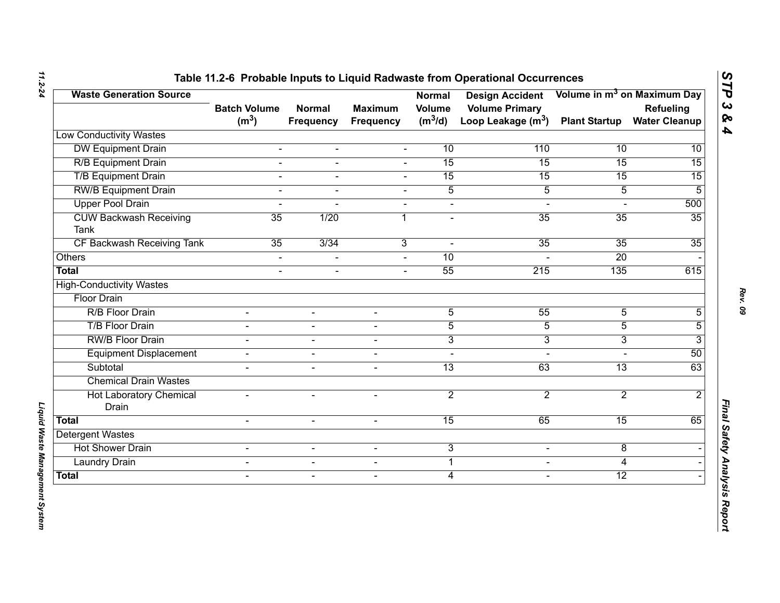| <b>Waste Generation Source</b>               | <b>Batch Volume</b> | <b>Normal</b>    | <b>Maximum</b>           | <b>Normal</b><br><b>Volume</b> | <b>Design Accident</b><br><b>Volume Primary</b> |                      | Volume in m <sup>3</sup> on Maximum Day<br>Refueling |
|----------------------------------------------|---------------------|------------------|--------------------------|--------------------------------|-------------------------------------------------|----------------------|------------------------------------------------------|
|                                              | (m <sup>3</sup> )   | <b>Frequency</b> | <b>Frequency</b>         | $(m^3/d)$                      | Loop Leakage $(m^3)$                            | <b>Plant Startup</b> | <b>Water Cleanup</b>                                 |
| <b>Low Conductivity Wastes</b>               |                     |                  |                          |                                |                                                 |                      |                                                      |
| <b>DW Equipment Drain</b>                    | $\blacksquare$      | $\blacksquare$   | $\blacksquare$           | 10                             | 110                                             | 10                   | 10                                                   |
| <b>R/B Equipment Drain</b>                   | $\overline{a}$      | $\blacksquare$   | $\overline{a}$           | 15                             | 15                                              | 15                   | $\overline{15}$                                      |
| <b>T/B Equipment Drain</b>                   | $\overline{a}$      | $\blacksquare$   | $\blacksquare$           | 15                             | 15                                              | 15                   | 15                                                   |
| <b>RW/B Equipment Drain</b>                  | L.                  |                  |                          | $\overline{5}$                 | $\overline{5}$                                  | $\overline{5}$       | 5                                                    |
| <b>Upper Pool Drain</b>                      | $\overline{a}$      |                  | $\blacksquare$           | $\blacksquare$                 | $\blacksquare$                                  |                      | 500                                                  |
| <b>CUW Backwash Receiving</b><br><b>Tank</b> | 35                  | 1/20             | 1                        | $\blacksquare$                 | 35                                              | 35                   | 35                                                   |
| CF Backwash Receiving Tank                   | 35                  | 3/34             | 3                        | $\sim$                         | 35                                              | $\overline{35}$      | 35                                                   |
| Others                                       | $\blacksquare$      |                  |                          | 10                             |                                                 | 20                   |                                                      |
| <b>Total</b>                                 | $\overline{a}$      | $\blacksquare$   | $\sim$                   | 55                             | 215                                             | 135                  | 615                                                  |
| <b>High-Conductivity Wastes</b>              |                     |                  |                          |                                |                                                 |                      |                                                      |
| <b>Floor Drain</b>                           |                     |                  |                          |                                |                                                 |                      |                                                      |
| R/B Floor Drain                              |                     |                  |                          | $\overline{5}$                 | 55                                              | $\overline{5}$       | 5                                                    |
| <b>T/B Floor Drain</b>                       | $\blacksquare$      | $\sim$           | $\blacksquare$           | $\overline{5}$                 | $\overline{5}$                                  | $\overline{5}$       | 5                                                    |
| <b>RW/B Floor Drain</b>                      |                     | $\sim$           | $\overline{\phantom{0}}$ | $\overline{3}$                 | $\overline{3}$                                  | 3                    | 3                                                    |
| <b>Equipment Displacement</b>                | $\blacksquare$      | $\blacksquare$   | $\sim$                   | $\blacksquare$                 | $\sim$                                          | $\overline{a}$       | 50                                                   |
| Subtotal                                     |                     | $\blacksquare$   | $\blacksquare$           | $\overline{13}$                | 63                                              | $\overline{13}$      | 63                                                   |
| <b>Chemical Drain Wastes</b>                 |                     |                  |                          |                                |                                                 |                      |                                                      |
| <b>Hot Laboratory Chemical</b><br>Drain      | $\blacksquare$      | $\sim$           | $\overline{\phantom{0}}$ | $\overline{2}$                 | $\overline{2}$                                  | $\overline{2}$       | $\overline{2}$                                       |
| <b>Total</b>                                 | $\overline{a}$      | $\mathbf{r}$     | $\sim$                   | 15                             | 65                                              | 15                   | 65                                                   |
| <b>Detergent Wastes</b>                      |                     |                  |                          |                                |                                                 |                      |                                                      |
| <b>Hot Shower Drain</b>                      | $\blacksquare$      | $\blacksquare$   | $\blacksquare$           | 3                              | $\blacksquare$                                  | 8                    |                                                      |
| <b>Laundry Drain</b>                         | $\mathbf{r}$        | $\blacksquare$   | $\blacksquare$           | $\mathbf 1$                    | $\blacksquare$                                  | 4                    |                                                      |
| <b>Total</b>                                 | $\blacksquare$      | $\sim$           | $\overline{\phantom{a}}$ | $\overline{4}$                 | $\blacksquare$                                  | $\overline{12}$      |                                                      |

*11.2-24*

*Liquid Waste Management System* 

Liquid Waste Management System

*STP 3 & 4*